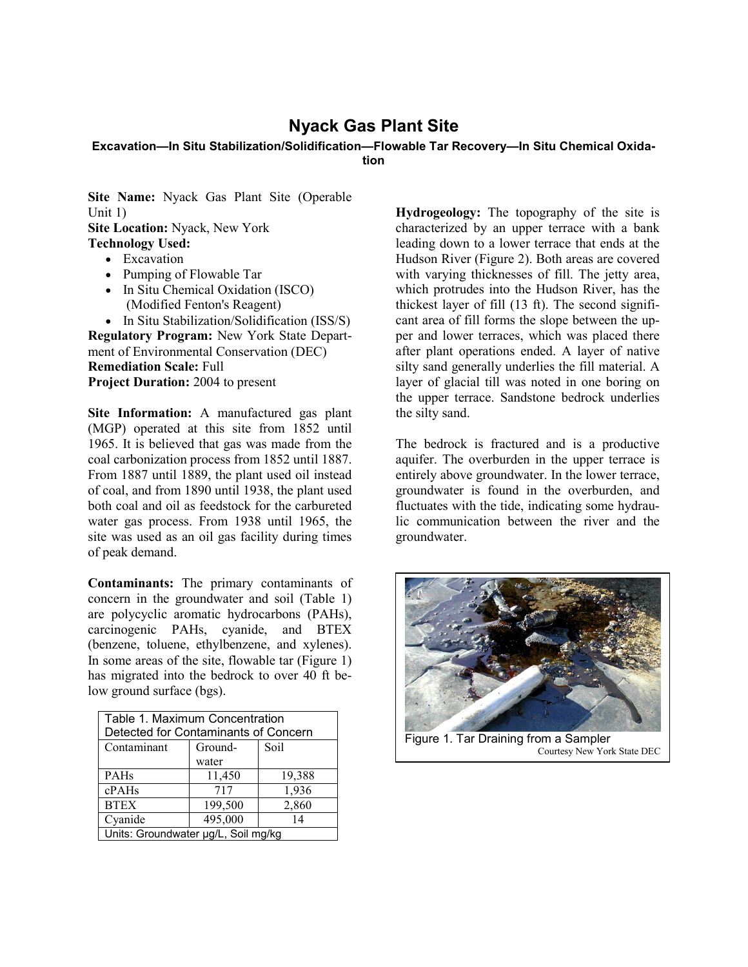## **Nyack Gas Plant Site**

## **Excavation—In Situ Stabilization/Solidification—Flowable Tar Recovery—In Situ Chemical Oxidation**

**Site Name:** Nyack Gas Plant Site (Operable Unit 1) **Site Location:** Nyack, New York **Technology Used:**

- Excavation
- Pumping of Flowable Tar
- In Situ Chemical Oxidation (ISCO) (Modified Fenton's Reagent)
- In Situ Stabilization/Solidification (ISS/S)

**Regulatory Program:** New York State Department of Environmental Conservation (DEC) **Remediation Scale:** Full **Project Duration:** 2004 to present

**Site Information:** A manufactured gas plant (MGP) operated at this site from 1852 until 1965. It is believed that gas was made from the coal carbonization process from 1852 until 1887. From 1887 until 1889, the plant used oil instead of coal, and from 1890 until 1938, the plant used both coal and oil as feedstock for the carbureted water gas process. From 1938 until 1965, the site was used as an oil gas facility during times of peak demand.

**Contaminants:** The primary contaminants of concern in the groundwater and soil (Table 1) are polycyclic aromatic hydrocarbons (PAHs), carcinogenic PAHs, cyanide, and BTEX (benzene, toluene, ethylbenzene, and xylenes). In some areas of the site, flowable tar (Figure 1) has migrated into the bedrock to over 40 ft below ground surface (bgs).

| Table 1. Maximum Concentration<br>Detected for Contaminants of Concern |         |        |
|------------------------------------------------------------------------|---------|--------|
|                                                                        |         |        |
| Contaminant                                                            | Ground- | Soil   |
|                                                                        | water   |        |
| <b>PAHs</b>                                                            | 11,450  | 19,388 |
| cPAHs                                                                  | 717     | 1,936  |
| <b>BTEX</b>                                                            | 199,500 | 2,860  |
| Cyanide                                                                | 495,000 | 14     |
| Units: Groundwater µg/L, Soil mg/kg                                    |         |        |

**Hydrogeology:** The topography of the site is characterized by an upper terrace with a bank leading down to a lower terrace that ends at the Hudson River (Figure 2). Both areas are covered with varying thicknesses of fill. The jetty area, which protrudes into the Hudson River, has the thickest layer of fill (13 ft). The second significant area of fill forms the slope between the upper and lower terraces, which was placed there after plant operations ended. A layer of native silty sand generally underlies the fill material. A layer of glacial till was noted in one boring on the upper terrace. Sandstone bedrock underlies the silty sand.

The bedrock is fractured and is a productive aquifer. The overburden in the upper terrace is entirely above groundwater. In the lower terrace, groundwater is found in the overburden, and fluctuates with the tide, indicating some hydraulic communication between the river and the groundwater.



Courtesy New York State DEC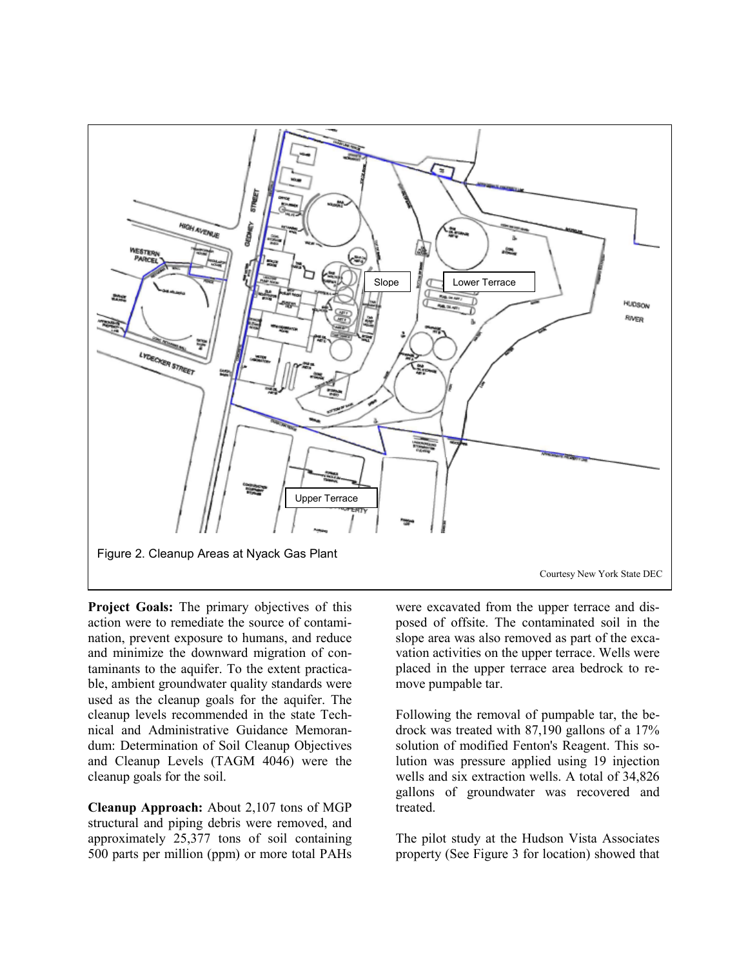

**Project Goals:** The primary objectives of this action were to remediate the source of contamination, prevent exposure to humans, and reduce and minimize the downward migration of contaminants to the aquifer. To the extent practicable, ambient groundwater quality standards were used as the cleanup goals for the aquifer. The cleanup levels recommended in the state Technical and Administrative Guidance Memorandum: Determination of Soil Cleanup Objectives and Cleanup Levels (TAGM 4046) were the cleanup goals for the soil.

**Cleanup Approach:** About 2,107 tons of MGP structural and piping debris were removed, and approximately 25,377 tons of soil containing 500 parts per million (ppm) or more total PAHs

were excavated from the upper terrace and disposed of offsite. The contaminated soil in the slope area was also removed as part of the excavation activities on the upper terrace. Wells were placed in the upper terrace area bedrock to remove pumpable tar.

Following the removal of pumpable tar, the bedrock was treated with 87,190 gallons of a 17% solution of modified Fenton's Reagent. This solution was pressure applied using 19 injection wells and six extraction wells. A total of 34,826 gallons of groundwater was recovered and treated.

The pilot study at the Hudson Vista Associates property (See Figure 3 for location) showed that